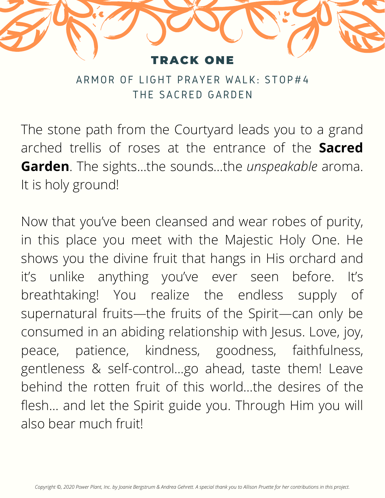

ARMOR OF LIGHT PRAYER WALK: STOP#4 THE SACRED GARDEN

The stone path from the Courtyard leads you to a grand arched trellis of roses at the entrance of the **Sacred Garden**. The sights…the sounds…the *unspeakable* aroma. It is holy ground!

Now that you've been cleansed and wear robes of purity, in this place you meet with the Majestic Holy One. He shows you the divine fruit that hangs in His orchard and it's unlike anything you've ever seen before. It's breathtaking! You realize the endless supply of supernatural fruits—the fruits of the Spirit—can only be consumed in an abiding relationship with Jesus. Love, joy, peace, patience, kindness, goodness, faithfulness, gentleness & self-control…go ahead, taste them! Leave behind the rotten fruit of this world…the desires of the flesh… and let the Spirit guide you. Through Him you will also bear much fruit!